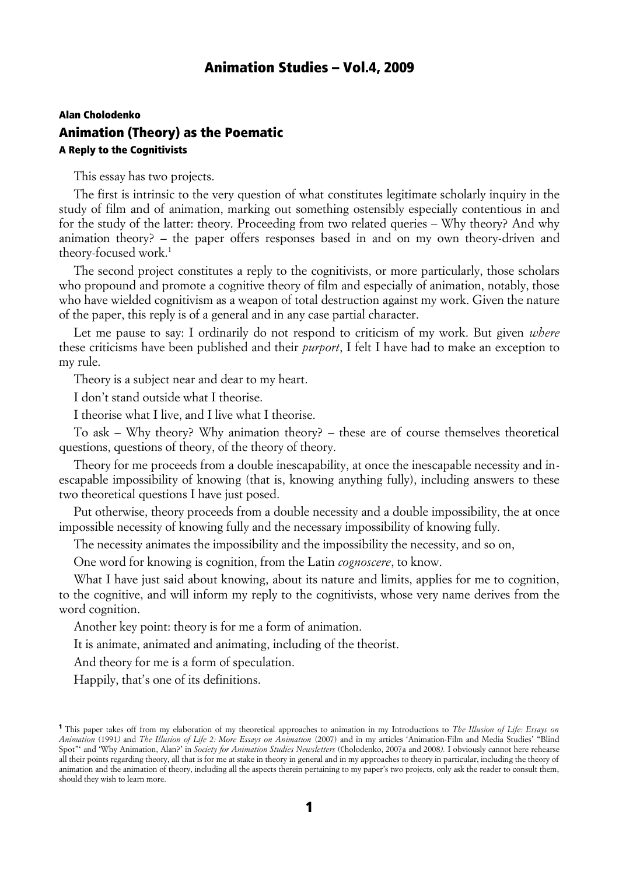# Alan Cholodenko Animation (Theory) as the Poematic A Reply to the Cognitivists

This essay has two projects.

The first is intrinsic to the very question of what constitutes legitimate scholarly inquiry in the study of film and of animation, marking out something ostensibly especially contentious in and for the study of the latter: theory. Proceeding from two related queries – Why theory? And why animation theory? – the paper offers responses based in and on my own theory-driven and theory-focused work.<sup>1</sup>

The second project constitutes a reply to the cognitivists, or more particularly, those scholars who propound and promote a cognitive theory of film and especially of animation, notably, those who have wielded cognitivism as a weapon of total destruction against my work. Given the nature of the paper, this reply is of a general and in any case partial character.

Let me pause to say: I ordinarily do not respond to criticism of my work. But given *where* these criticisms have been published and their *purport*, I felt I have had to make an exception to my rule.

Theory is a subject near and dear to my heart.

I don't stand outside what I theorise.

I theorise what I live, and I live what I theorise.

To ask – Why theory? Why animation theory? – these are of course themselves theoretical questions, questions of theory, of the theory of theory.

Theory for me proceeds from a double inescapability, at once the inescapable necessity and inescapable impossibility of knowing (that is, knowing anything fully), including answers to these two theoretical questions I have just posed.

Put otherwise, theory proceeds from a double necessity and a double impossibility, the at once impossible necessity of knowing fully and the necessary impossibility of knowing fully.

The necessity animates the impossibility and the impossibility the necessity, and so on,

One word for knowing is cognition, from the Latin *cognoscere*, to know.

What I have just said about knowing, about its nature and limits, applies for me to cognition, to the cognitive, and will inform my reply to the cognitivists, whose very name derives from the word cognition.

Another key point: theory is for me a form of animation.

It is animate, animated and animating, including of the theorist.

And theory for me is a form of speculation.

Happily, that's one of its definitions.

<sup>1</sup> This paper takes off from my elaboration of my theoretical approaches to animation in my Introductions to *The Illusion of Life: Essays on Animation* (1991*)* and *The Illusion of Life 2: More Essays on Animation* (2007) and in my articles 'Animation-Film and Media Studies' "Blind Spot"' and 'Why Animation, Alan?' in *Society for Animation Studies Newsletters* (Cholodenko, 2007a and 2008*).* I obviously cannot here rehearse all their points regarding theory, all that is for me at stake in theory in general and in my approaches to theory in particular, including the theory of animation and the animation of theory, including all the aspects therein pertaining to my paper's two projects, only ask the reader to consult them, should they wish to learn more.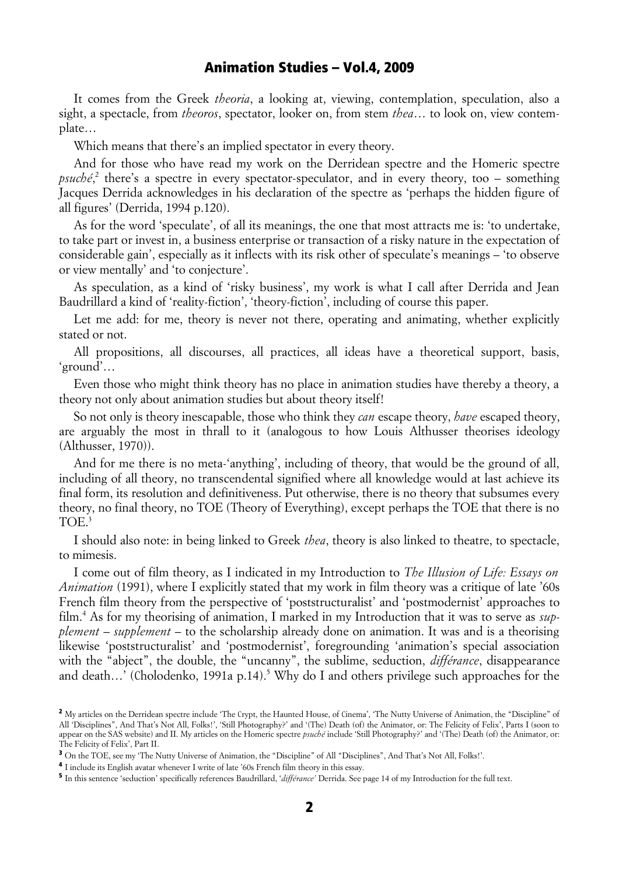It comes from the Greek *theoria*, a looking at, viewing, contemplation, speculation, also a sight, a spectacle, from *theoros*, spectator, looker on, from stem *thea*… to look on, view contemplate…

Which means that there's an implied spectator in every theory.

And for those who have read my work on the Derridean spectre and the Homeric spectre psuché<sup>2</sup>, there's a spectre in every spectator-speculator, and in every theory, too – something Jacques Derrida acknowledges in his declaration of the spectre as 'perhaps the hidden figure of all figures' (Derrida, 1994 p.120).

As for the word 'speculate', of all its meanings, the one that most attracts me is: 'to undertake, to take part or invest in, a business enterprise or transaction of a risky nature in the expectation of considerable gain', especially as it inflects with its risk other of speculate's meanings – 'to observe or view mentally' and 'to conjecture'.

As speculation, as a kind of 'risky business', my work is what I call after Derrida and Jean Baudrillard a kind of 'reality-fiction', 'theory-fiction', including of course this paper.

Let me add: for me, theory is never not there, operating and animating, whether explicitly stated or not.

All propositions, all discourses, all practices, all ideas have a theoretical support, basis, 'ground'…

Even those who might think theory has no place in animation studies have thereby a theory, a theory not only about animation studies but about theory itself!

So not only is theory inescapable, those who think they *can* escape theory, *have* escaped theory, are arguably the most in thrall to it (analogous to how Louis Althusser theorises ideology (Althusser, 1970)).

And for me there is no meta-'anything', including of theory, that would be the ground of all, including of all theory, no transcendental signified where all knowledge would at last achieve its final form, its resolution and definitiveness. Put otherwise, there is no theory that subsumes every theory, no final theory, no TOE (Theory of Everything), except perhaps the TOE that there is no TOE.<sup>3</sup>

I should also note: in being linked to Greek *thea*, theory is also linked to theatre, to spectacle, to mimesis.

I come out of film theory, as I indicated in my Introduction to *The Illusion of Life: Essays on Animation* (1991), where I explicitly stated that my work in film theory was a critique of late '60s French film theory from the perspective of 'poststructuralist' and 'postmodernist' approaches to film.4 As for my theorising of animation, I marked in my Introduction that it was to serve as *supplement – supplement –* to the scholarship already done on animation. It was and is a theorising likewise 'poststructuralist' and 'postmodernist', foregrounding 'animation's special association with the "abject", the double, the "uncanny", the sublime, seduction, *différance*, disappearance and death...' (Cholodenko, 1991a p.14).<sup>5</sup> Why do I and others privilege such approaches for the

<sup>&</sup>lt;sup>2</sup> My articles on the Derridean spectre include 'The Crypt, the Haunted House, of Cinema', 'The Nutty Universe of Animation, the "Discipline" of All 'Disciplines", And That's Not All, Folks!', 'Still Photography?' and '(The) Death (of) the Animator, or: The Felicity of Felix', Parts I (soon to appear on the SAS website) and II. My articles on the Homeric spectre *psuché* include 'Still Photography?' and '(The) Death (of) the Animator, or: The Felicity of Felix', Part II.

<sup>3</sup> On the TOE, see my 'The Nutty Universe of Animation, the "Discipline" of All "Disciplines", And That's Not All, Folks!'.

<sup>4</sup> I include its English avatar whenever I write of late '60s French film theory in this essay.

<sup>5</sup> In this sentence 'seduction' specifically references Baudrillard, '*différance'* Derrida. See page 14 of my Introduction for the full text.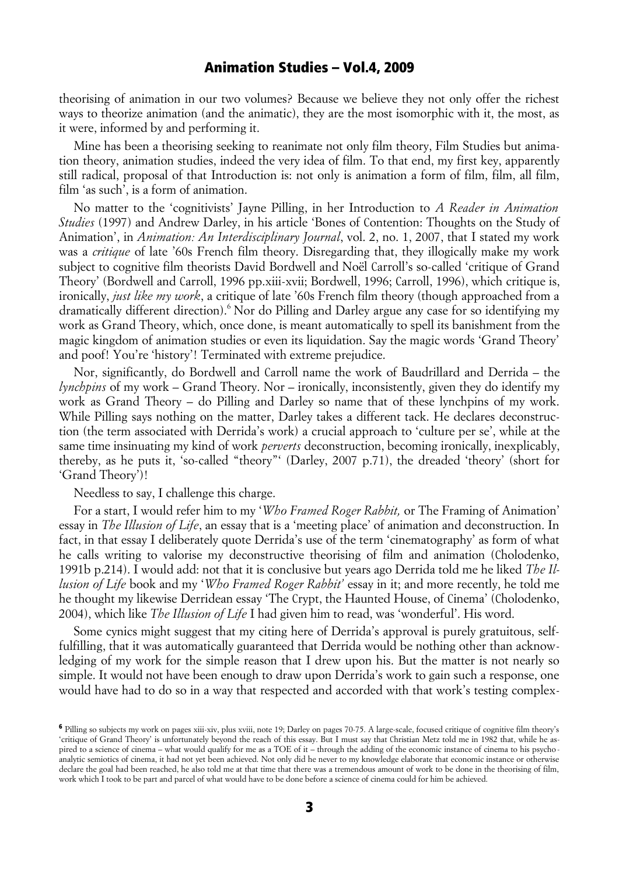theorising of animation in our two volumes? Because we believe they not only offer the richest ways to theorize animation (and the animatic), they are the most isomorphic with it, the most, as it were, informed by and performing it.

Mine has been a theorising seeking to reanimate not only film theory, Film Studies but animation theory, animation studies, indeed the very idea of film. To that end, my first key, apparently still radical, proposal of that Introduction is: not only is animation a form of film, film, all film, film 'as such', is a form of animation.

No matter to the 'cognitivists' Jayne Pilling, in her Introduction to *A Reader in Animation Studies* (1997) and Andrew Darley, in his article 'Bones of Contention: Thoughts on the Study of Animation', in *Animation: An Interdisciplinary Journal*, vol. 2, no. 1, 2007, that I stated my work was a *critique* of late '60s French film theory. Disregarding that, they illogically make my work subject to cognitive film theorists David Bordwell and Noël Carroll's so-called 'critique of Grand Theory' (Bordwell and Carroll, 1996 pp.xiii-xvii; Bordwell, 1996; Carroll, 1996), which critique is, ironically, *just like my work*, a critique of late '60s French film theory (though approached from a dramatically different direction).<sup>6</sup> Nor do Pilling and Darley argue any case for so identifying my work as Grand Theory, which, once done, is meant automatically to spell its banishment from the magic kingdom of animation studies or even its liquidation. Say the magic words 'Grand Theory' and poof! You're 'history'! Terminated with extreme prejudice.

Nor, significantly, do Bordwell and Carroll name the work of Baudrillard and Derrida *–* the *lynchpins* of my work *–* Grand Theory. Nor *–* ironically, inconsistently, given they do identify my work as Grand Theory *–* do Pilling and Darley so name that of these lynchpins of my work. While Pilling says nothing on the matter, Darley takes a different tack. He declares deconstruction (the term associated with Derrida's work) a crucial approach to 'culture per se', while at the same time insinuating my kind of work *perverts* deconstruction, becoming ironically, inexplicably, thereby, as he puts it, 'so-called "theory"' (Darley, 2007 p.71), the dreaded 'theory' (short for 'Grand Theory')!

Needless to say, I challenge this charge.

For a start, I would refer him to my '*Who Framed Roger Rabbit,* or The Framing of Animation' essay in *The Illusion of Life*, an essay that is a 'meeting place' of animation and deconstruction. In fact, in that essay I deliberately quote Derrida's use of the term 'cinematography' as form of what he calls writing to valorise my deconstructive theorising of film and animation (Cholodenko, 1991b p.214). I would add: not that it is conclusive but years ago Derrida told me he liked *The Illusion of Life* book and my '*Who Framed Roger Rabbit'* essay in it; and more recently, he told me he thought my likewise Derridean essay 'The Crypt, the Haunted House, of Cinema' (Cholodenko, 2004), which like *The Illusion of Life* I had given him to read, was 'wonderful'. His word.

Some cynics might suggest that my citing here of Derrida's approval is purely gratuitous, selffulfilling, that it was automatically guaranteed that Derrida would be nothing other than acknowledging of my work for the simple reason that I drew upon his. But the matter is not nearly so simple. It would not have been enough to draw upon Derrida's work to gain such a response, one would have had to do so in a way that respected and accorded with that work's testing complex-

<sup>6</sup> Pilling so subjects my work on pages xiii-xiv, plus xviii, note 19; Darley on pages 70-75. A large-scale, focused critique of cognitive film theory's 'critique of Grand Theory' is unfortunately beyond the reach of this essay. But I must say that Christian Metz told me in 1982 that, while he aspired to a science of cinema – what would qualify for me as a TOE of it – through the adding of the economic instance of cinema to his psycho analytic semiotics of cinema, it had not yet been achieved. Not only did he never to my knowledge elaborate that economic instance or otherwise declare the goal had been reached, he also told me at that time that there was a tremendous amount of work to be done in the theorising of film, work which I took to be part and parcel of what would have to be done before a science of cinema could for him be achieved.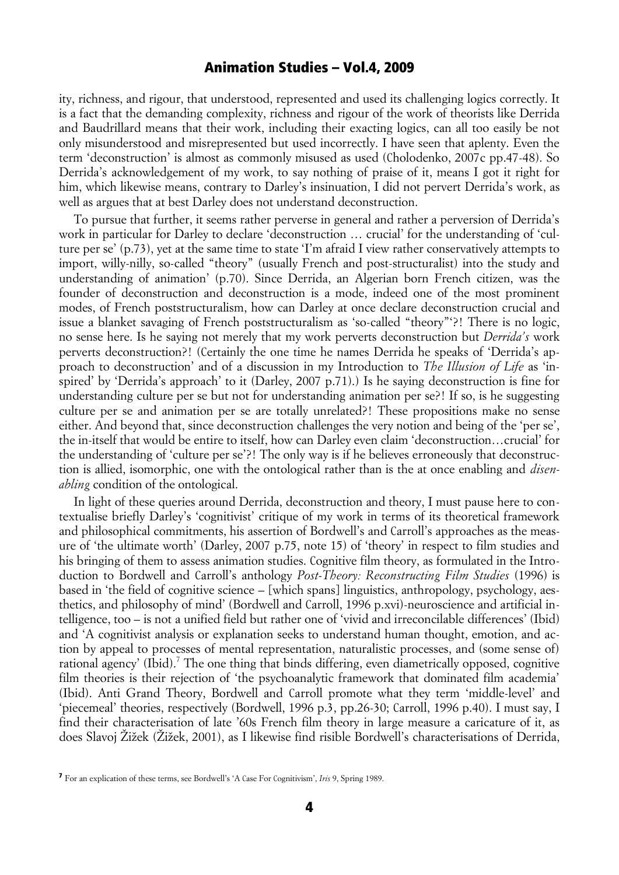ity, richness, and rigour, that understood, represented and used its challenging logics correctly. It is a fact that the demanding complexity, richness and rigour of the work of theorists like Derrida and Baudrillard means that their work, including their exacting logics, can all too easily be not only misunderstood and misrepresented but used incorrectly. I have seen that aplenty. Even the term 'deconstruction' is almost as commonly misused as used (Cholodenko, 2007c pp.47-48). So Derrida's acknowledgement of my work, to say nothing of praise of it, means I got it right for him, which likewise means, contrary to Darley's insinuation, I did not pervert Derrida's work, as well as argues that at best Darley does not understand deconstruction.

To pursue that further, it seems rather perverse in general and rather a perversion of Derrida's work in particular for Darley to declare 'deconstruction … crucial' for the understanding of 'culture per se' (p.73), yet at the same time to state 'I'm afraid I view rather conservatively attempts to import, willy-nilly, so-called "theory" (usually French and post-structuralist) into the study and understanding of animation' (p.70). Since Derrida, an Algerian born French citizen, was the founder of deconstruction and deconstruction is a mode, indeed one of the most prominent modes, of French poststructuralism, how can Darley at once declare deconstruction crucial and issue a blanket savaging of French poststructuralism as 'so-called "theory"'?! There is no logic, no sense here. Is he saying not merely that my work perverts deconstruction but *Derrida's* work perverts deconstruction?! (Certainly the one time he names Derrida he speaks of 'Derrida's approach to deconstruction' and of a discussion in my Introduction to *The Illusion of Life* as 'inspired' by 'Derrida's approach' to it (Darley, 2007 p.71).) Is he saying deconstruction is fine for understanding culture per se but not for understanding animation per se?! If so, is he suggesting culture per se and animation per se are totally unrelated?! These propositions make no sense either. And beyond that, since deconstruction challenges the very notion and being of the 'per se', the in-itself that would be entire to itself, how can Darley even claim 'deconstruction…crucial' for the understanding of 'culture per se'?! The only way is if he believes erroneously that deconstruction is allied, isomorphic, one with the ontological rather than is the at once enabling and *disenabling* condition of the ontological.

In light of these queries around Derrida, deconstruction and theory, I must pause here to contextualise briefly Darley's 'cognitivist' critique of my work in terms of its theoretical framework and philosophical commitments, his assertion of Bordwell's and Carroll's approaches as the measure of 'the ultimate worth' (Darley, 2007 p.75, note 15) of 'theory' in respect to film studies and his bringing of them to assess animation studies. Cognitive film theory, as formulated in the Introduction to Bordwell and Carroll's anthology *Post-Theory: Reconstructing Film Studies* (1996) is based in 'the field of cognitive science *–* [which spans] linguistics, anthropology, psychology, aesthetics, and philosophy of mind' (Bordwell and Carroll, 1996 p.xvi)-neuroscience and artificial intelligence, too *–* is not a unified field but rather one of 'vivid and irreconcilable differences' (Ibid) and 'A cognitivist analysis or explanation seeks to understand human thought, emotion, and action by appeal to processes of mental representation, naturalistic processes, and (some sense of) rational agency' (Ibid).<sup>7</sup> The one thing that binds differing, even diametrically opposed, cognitive film theories is their rejection of 'the psychoanalytic framework that dominated film academia' (Ibid). Anti Grand Theory, Bordwell and Carroll promote what they term 'middle-level' and 'piecemeal' theories, respectively (Bordwell, 1996 p.3, pp.26-30; Carroll, 1996 p.40). I must say, I find their characterisation of late '60s French film theory in large measure a caricature of it, as does Slavoj Žižek (Žižek, 2001), as I likewise find risible Bordwell's characterisations of Derrida,

<sup>7</sup> For an explication of these terms, see Bordwell's 'A Case For Cognitivism', *Iris* 9, Spring 1989.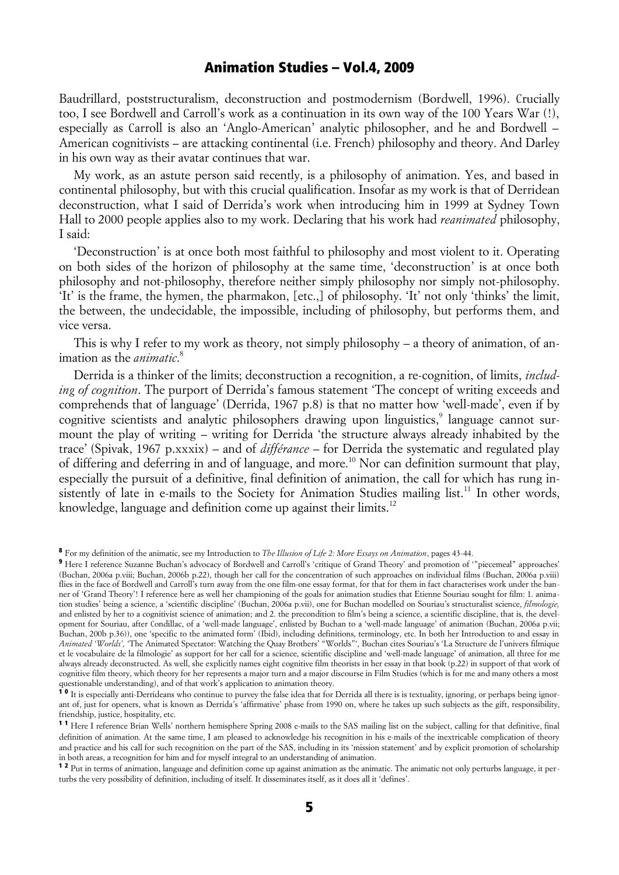Baudrillard, poststructuralism, deconstruction and postmodernism (Bordwell, 1996). Crucially too, I see Bordwell and Carroll's work as a continuation in its own way of the 100 Years War (!), especially as Carroll is also an 'Anglo-American' analytic philosopher, and he and Bordwell *–* American cognitivists *–* are attacking continental (i.e. French) philosophy and theory. And Darley in his own way as their avatar continues that war.

My work, as an astute person said recently, is a philosophy of animation. Yes, and based in continental philosophy, but with this crucial qualification. Insofar as my work is that of Derridean deconstruction, what I said of Derrida's work when introducing him in 1999 at Sydney Town Hall to 2000 people applies also to my work. Declaring that his work had *reanimated* philosophy, I said:

'Deconstruction' is at once both most faithful to philosophy and most violent to it. Operating on both sides of the horizon of philosophy at the same time, 'deconstruction' is at once both philosophy and not-philosophy, therefore neither simply philosophy nor simply not-philosophy. 'It' is the frame, the hymen, the pharmakon, [etc.,] of philosophy. 'It' not only 'thinks' the limit, the between, the undecidable, the impossible, including of philosophy, but performs them, and vice versa.

This is why I refer to my work as theory, not simply philosophy *–* a theory of animation, of animation as the *animatic*. 8

Derrida is a thinker of the limits; deconstruction a recognition, a re-cognition, of limits, *including of cognition*. The purport of Derrida's famous statement 'The concept of writing exceeds and comprehends that of language' (Derrida, 1967 p.8) is that no matter how 'well-made', even if by cognitive scientists and analytic philosophers drawing upon linguistics,<sup>9</sup> language cannot surmount the play of writing *–* writing for Derrida 'the structure always already inhabited by the trace' (Spivak, 1967 p.xxxix) *–* and of *différance –* for Derrida the systematic and regulated play of differing and deferring in and of language, and more.<sup>10</sup> Nor can definition surmount that play, especially the pursuit of a definitive, final definition of animation, the call for which has rung insistently of late in e-mails to the Society for Animation Studies mailing list.<sup>11</sup> In other words, knowledge, language and definition come up against their limits.<sup>12</sup>

<sup>8</sup> For my definition of the animatic, see my Introduction to *The Illusion of Life 2: More Essays on Animation*, pages 43-44.

<sup>9</sup> Here I reference Suzanne Buchan's advocacy of Bordwell and Carroll's 'critique of Grand Theory' and promotion of '"piecemeal" approaches' (Buchan, 2006a p.viii; Buchan, 2006b p.22), though her call for the concentration of such approaches on individual films (Buchan, 2006a p.viii) flies in the face of Bordwell and Carroll's turn away from the one film-one essay format, for that for them in fact characterises work under the banner of 'Grand Theory'! I reference here as well her championing of the goals for animation studies that Etienne Souriau sought for film: 1. animation studies' being a science, a 'scientific discipline' (Buchan, 2006a p.vii), one for Buchan modelled on Souriau's structuralist science, *filmologie,* and enlisted by her to a cognitivist science of animation; and 2. the precondition to film's being a science, a scientific discipline, that is, the development for Souriau, after Condillac, of a 'well-made language', enlisted by Buchan to a 'well-made language' of animation (Buchan, 2006a p.vii; Buchan, 200b p.36)), one 'specific to the animated form' (Ibid), including definitions, terminology, etc. In both her Introduction to and essay in *Animated 'Worlds',* 'The Animated Spectator: Watching the Quay Brothers' "Worlds"', Buchan cites Souriau's 'La Structure de l'univers filmique et le vocabulaire de la filmologie' as support for her call for a science, scientific discipline and 'well-made language' of animation, all three for me always already deconstructed. As well, she explicitly names eight cognitive film theorists in her essay in that book (p.22) in support of that work of cognitive film theory, which theory for her represents a major turn and a major discourse in Film Studies (which is for me and many others a most questionable understanding), and of that work's application to animation theory.

<sup>&</sup>lt;sup>10</sup> It is especially anti-Derrideans who continue to purvey the false idea that for Derrida all there is is textuality, ignoring, or perhaps being ignorant of, just for openers, what is known as Derrida's 'affirmative' phase from 1990 on, where he takes up such subjects as the gift, responsibility, friendship, justice, hospitality, etc.

<sup>&</sup>lt;sup>11</sup> Here I reference Brian Wells' northern hemisphere Spring 2008 e-mails to the SAS mailing list on the subject, calling for that definitive, final definition of animation. At the same time, I am pleased to acknowledge his recognition in his e-mails of the inextricable complication of theory and practice and his call for such recognition on the part of the SAS, including in its 'mission statement' and by explicit promotion of scholarship in both areas, a recognition for him and for myself integral to an understanding of animation.

<sup>&</sup>lt;sup>12</sup> Put in terms of animation, language and definition come up against animation as the animatic. The animatic not only perturbs language, it perturbs the very possibility of definition, including of itself. It disseminates itself, as it does all it 'defines'.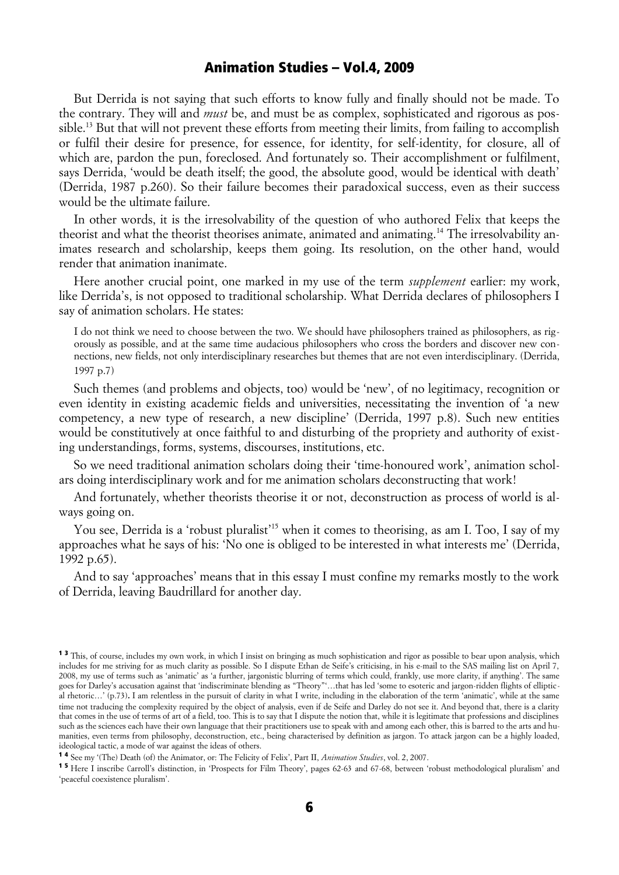But Derrida is not saying that such efforts to know fully and finally should not be made. To the contrary. They will and *must* be, and must be as complex, sophisticated and rigorous as possible.<sup>13</sup> But that will not prevent these efforts from meeting their limits, from failing to accomplish or fulfil their desire for presence, for essence, for identity, for self-identity, for closure, all of which are, pardon the pun, foreclosed. And fortunately so. Their accomplishment or fulfilment, says Derrida, 'would be death itself; the good, the absolute good, would be identical with death' (Derrida, 1987 p.260). So their failure becomes their paradoxical success, even as their success would be the ultimate failure.

In other words, it is the irresolvability of the question of who authored Felix that keeps the theorist and what the theorist theorises animate, animated and animating.14 The irresolvability animates research and scholarship, keeps them going. Its resolution, on the other hand, would render that animation inanimate.

Here another crucial point, one marked in my use of the term *supplement* earlier: my work, like Derrida's, is not opposed to traditional scholarship. What Derrida declares of philosophers I say of animation scholars. He states:

I do not think we need to choose between the two. We should have philosophers trained as philosophers, as rigorously as possible, and at the same time audacious philosophers who cross the borders and discover new connections, new fields, not only interdisciplinary researches but themes that are not even interdisciplinary. (Derrida, 1997 p.7)

Such themes (and problems and objects, too) would be 'new', of no legitimacy, recognition or even identity in existing academic fields and universities, necessitating the invention of 'a new competency, a new type of research, a new discipline' (Derrida, 1997 p.8). Such new entities would be constitutively at once faithful to and disturbing of the propriety and authority of existing understandings, forms, systems, discourses, institutions, etc.

So we need traditional animation scholars doing their 'time-honoured work', animation scholars doing interdisciplinary work and for me animation scholars deconstructing that work!

And fortunately, whether theorists theorise it or not, deconstruction as process of world is always going on.

You see, Derrida is a 'robust pluralist'15 when it comes to theorising, as am I. Too, I say of my approaches what he says of his: 'No one is obliged to be interested in what interests me' (Derrida, 1992 p.65).

And to say 'approaches' means that in this essay I must confine my remarks mostly to the work of Derrida, leaving Baudrillard for another day.

<sup>&</sup>lt;sup>13</sup> This, of course, includes my own work, in which I insist on bringing as much sophistication and rigor as possible to bear upon analysis, which includes for me striving for as much clarity as possible. So I dispute Ethan de Seife's criticising, in his e-mail to the SAS mailing list on April 7, 2008, my use of terms such as 'animatic' as 'a further, jargonistic blurring of terms which could, frankly, use more clarity, if anything'. The same goes for Darley's accusation against that 'indiscriminate blending as "Theory"'…that has led 'some to esoteric and jargon-ridden flights of elliptical rhetoric…' (p.73)**.** I am relentless in the pursuit of clarity in what I write, including in the elaboration of the term 'animatic', while at the same time not traducing the complexity required by the object of analysis, even if de Seife and Darley do not see it. And beyond that, there is a clarity that comes in the use of terms of art of a field, too. This is to say that I dispute the notion that, while it is legitimate that professions and disciplines such as the sciences each have their own language that their practitioners use to speak with and among each other, this is barred to the arts and humanities, even terms from philosophy, deconstruction, etc., being characterised by definition as jargon. To attack jargon can be a highly loaded, ideological tactic, a mode of war against the ideas of others.

<sup>1 4</sup> See my '(The) Death (of) the Animator, or: The Felicity of Felix', Part II, *Animation Studies*, vol. 2, 2007.

<sup>1 5</sup> Here I inscribe Carroll's distinction, in 'Prospects for Film Theory', pages 62-63 and 67-68, between 'robust methodological pluralism' and 'peaceful coexistence pluralism'.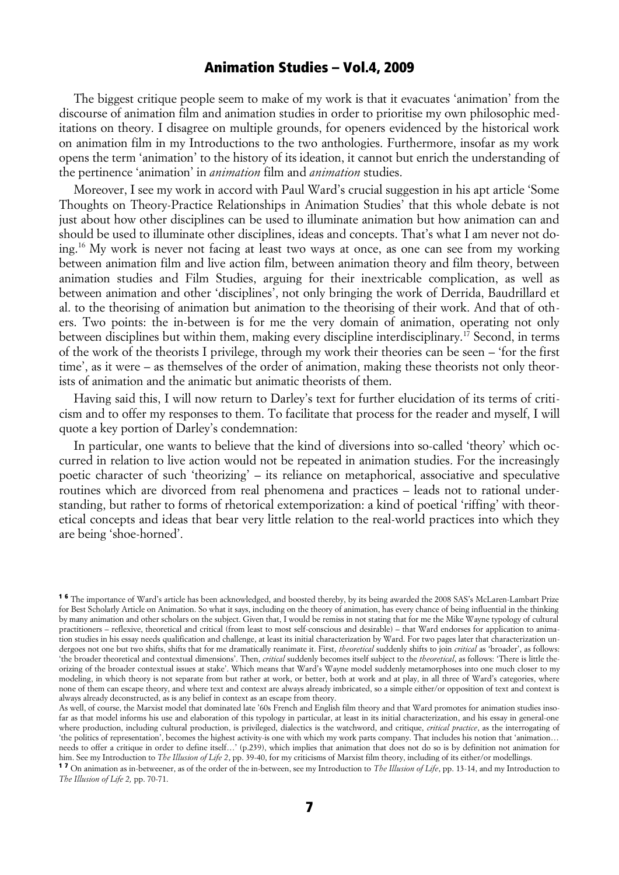The biggest critique people seem to make of my work is that it evacuates 'animation' from the discourse of animation film and animation studies in order to prioritise my own philosophic meditations on theory. I disagree on multiple grounds, for openers evidenced by the historical work on animation film in my Introductions to the two anthologies. Furthermore, insofar as my work opens the term 'animation' to the history of its ideation, it cannot but enrich the understanding of the pertinence 'animation' in *animation* film and *animation* studies.

Moreover, I see my work in accord with Paul Ward's crucial suggestion in his apt article 'Some Thoughts on Theory-Practice Relationships in Animation Studies' that this whole debate is not just about how other disciplines can be used to illuminate animation but how animation can and should be used to illuminate other disciplines, ideas and concepts. That's what I am never not doing.16 My work is never not facing at least two ways at once, as one can see from my working between animation film and live action film, between animation theory and film theory, between animation studies and Film Studies, arguing for their inextricable complication, as well as between animation and other 'disciplines', not only bringing the work of Derrida, Baudrillard et al. to the theorising of animation but animation to the theorising of their work. And that of others. Two points: the in-between is for me the very domain of animation, operating not only between disciplines but within them, making every discipline interdisciplinary.<sup>17</sup> Second, in terms of the work of the theorists I privilege, through my work their theories can be seen *–* 'for the first time', as it were *–* as themselves of the order of animation, making these theorists not only theorists of animation and the animatic but animatic theorists of them.

Having said this, I will now return to Darley's text for further elucidation of its terms of criticism and to offer my responses to them. To facilitate that process for the reader and myself, I will quote a key portion of Darley's condemnation:

In particular, one wants to believe that the kind of diversions into so-called 'theory' which occurred in relation to live action would not be repeated in animation studies. For the increasingly poetic character of such 'theorizing' *–* its reliance on metaphorical, associative and speculative routines which are divorced from real phenomena and practices *–* leads not to rational understanding, but rather to forms of rhetorical extemporization: a kind of poetical 'riffing' with theoretical concepts and ideas that bear very little relation to the real-world practices into which they are being 'shoe-horned'.

<sup>&</sup>lt;sup>16</sup> The importance of Ward's article has been acknowledged, and boosted thereby, by its being awarded the 2008 SAS's McLaren-Lambart Prize for Best Scholarly Article on Animation. So what it says, including on the theory of animation, has every chance of being influential in the thinking by many animation and other scholars on the subject. Given that, I would be remiss in not stating that for me the Mike Wayne typology of cultural practitioners – reflexive, theoretical and critical (from least to most self-conscious and desirable) – that Ward endorses for application to animation studies in his essay needs qualification and challenge, at least its initial characterization by Ward. For two pages later that characterization undergoes not one but two shifts, shifts that for me dramatically reanimate it. First, *theoretical* suddenly shifts to join *critical* as 'broader', as follows: 'the broader theoretical and contextual dimensions'. Then, *critical* suddenly becomes itself subject to the *theoretical*, as follows: 'There is little theorizing of the broader contextual issues at stake'. Which means that Ward's Wayne model suddenly metamorphoses into one much closer to my modeling, in which theory is not separate from but rather at work, or better, both at work and at play, in all three of Ward's categories, where none of them can escape theory, and where text and context are always already imbricated, so a simple either/or opposition of text and context is always already deconstructed, as is any belief in context as an escape from theory.

As well, of course, the Marxist model that dominated late '60s French and English film theory and that Ward promotes for animation studies insofar as that model informs his use and elaboration of this typology in particular, at least in its initial characterization, and his essay in general-one where production, including cultural production, is privileged, dialectics is the watchword, and critique, *critical practice*, as the interrogating of 'the politics of representation', becomes the highest activity-is one with which my work parts company. That includes his notion that 'animation… needs to offer a critique in order to define itself…' (p.239), which implies that animation that does not do so is by definition not animation for him. See my Introduction to *The Illusion of Life 2*, pp. 39-40, for my criticisms of Marxist film theory, including of its either/or modellings.

<sup>1 7</sup> On animation as in-betweener, as of the order of the in-between, see my Introduction to *The Illusion of Life*, pp. 13-14, and my Introduction to *The Illusion of Life 2,* pp. 70-71.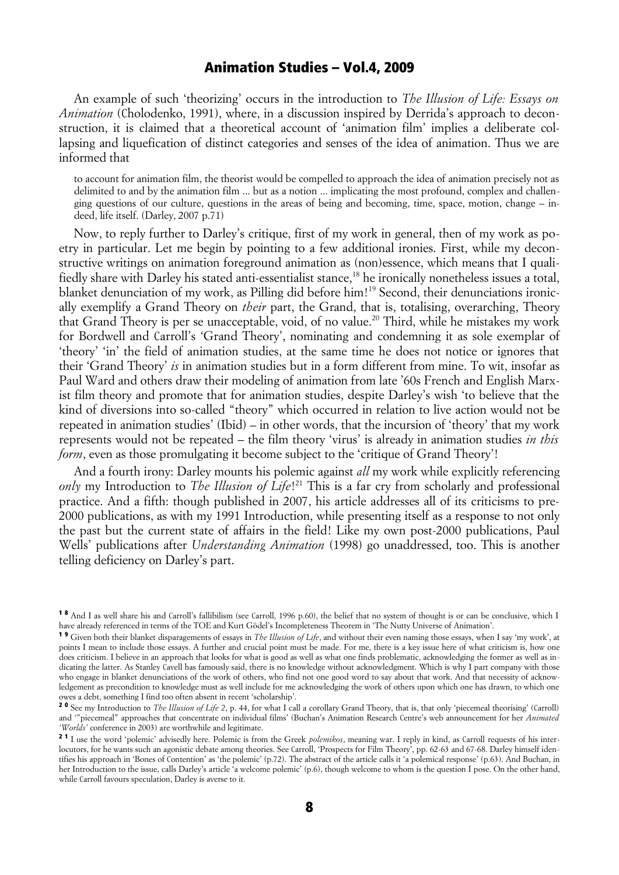An example of such 'theorizing' occurs in the introduction to *The Illusion of Life: Essays on Animation* (Cholodenko, 1991), where, in a discussion inspired by Derrida's approach to deconstruction, it is claimed that a theoretical account of 'animation film' implies a deliberate collapsing and liquefication of distinct categories and senses of the idea of animation. Thus we are informed that

to account for animation film, the theorist would be compelled to approach the idea of animation precisely not as delimited to and by the animation film ... but as a notion ... implicating the most profound, complex and challenging questions of our culture, questions in the areas of being and becoming, time, space, motion, change *–* indeed, life itself. (Darley, 2007 p.71)

Now, to reply further to Darley's critique, first of my work in general, then of my work as poetry in particular. Let me begin by pointing to a few additional ironies. First, while my deconstructive writings on animation foreground animation as (non)essence, which means that I qualifiedly share with Darley his stated anti-essentialist stance,<sup>18</sup> he ironically nonetheless issues a total, blanket denunciation of my work, as Pilling did before him!<sup>19</sup> Second, their denunciations ironically exemplify a Grand Theory on *their* part, the Grand, that is, totalising, overarching, Theory that Grand Theory is per se unacceptable, void, of no value.<sup>20</sup> Third, while he mistakes my work for Bordwell and Carroll's 'Grand Theory', nominating and condemning it as sole exemplar of 'theory' 'in' the field of animation studies, at the same time he does not notice or ignores that their 'Grand Theory' *is* in animation studies but in a form different from mine. To wit, insofar as Paul Ward and others draw their modeling of animation from late '60s French and English Marxist film theory and promote that for animation studies, despite Darley's wish 'to believe that the kind of diversions into so-called "theory" which occurred in relation to live action would not be repeated in animation studies' (Ibid) *–* in other words, that the incursion of 'theory' that my work represents would not be repeated *–* the film theory 'virus' is already in animation studies *in this form*, even as those promulgating it become subject to the 'critique of Grand Theory'!

And a fourth irony: Darley mounts his polemic against *all* my work while explicitly referencing *only* my Introduction to *The Illusion of Life*! 21 This is a far cry from scholarly and professional practice. And a fifth: though published in 2007, his article addresses all of its criticisms to pre-2000 publications, as with my 1991 Introduction, while presenting itself as a response to not only the past but the current state of affairs in the field! Like my own post-2000 publications, Paul Wells' publications after *Understanding Animation* (1998) go unaddressed, too. This is another telling deficiency on Darley's part.

<sup>1 8</sup> And I as well share his and Carroll's fallibilism (see Carroll, 1996 p.60), the belief that no system of thought is or can be conclusive, which I have already referenced in terms of the TOE and Kurt Gödel's Incompleteness Theorem in 'The Nutty Universe of Animation'.

<sup>1 9</sup> Given both their blanket disparagements of essays in *The Illusion of Life*, and without their even naming those essays, when I say 'my work', at points I mean to include those essays. A further and crucial point must be made. For me, there is a key issue here of what criticism is, how one does criticism. I believe in an approach that looks for what is good as well as what one finds problematic, acknowledging the former as well as indicating the latter. As Stanley Cavell has famously said, there is no knowledge without acknowledgment. Which is why I part company with those who engage in blanket denunciations of the work of others, who find not one good word to say about that work. And that necessity of acknowledgement as precondition to knowledge must as well include for me acknowledging the work of others upon which one has drawn, to which one owes a debt, something I find too often absent in recent 'scholarship'.

<sup>&</sup>lt;sup>2 0</sup> See my Introduction to *The Illusion of Life* 2, p. 44, for what I call a corollary Grand Theory, that is, that only 'piecemeal theorising' (Carroll) and '"piecemeal" approaches that concentrate on individual films' (Buchan's Animation Research Centre's web announcement for her *Animated 'Worlds'* conference in 2003) are worthwhile and legitimate.

<sup>&</sup>lt;sup>21</sup> I use the word 'polemic' advisedly here. Polemic is from the Greek *polemikos*, meaning war. I reply in kind, as Carroll requests of his interlocutors, for he wants such an agonistic debate among theories. See Carroll, 'Prospects for Film Theory', pp. 62-63 and 67-68. Darley himself identifies his approach in 'Bones of Contention' as 'the polemic' (p.72). The abstract of the article calls it 'a polemical response' (p.63). And Buchan, in her Introduction to the issue, calls Darley's article 'a welcome polemic' (p.6), though welcome to whom is the question I pose. On the other hand, while Carroll favours speculation, Darley is averse to it.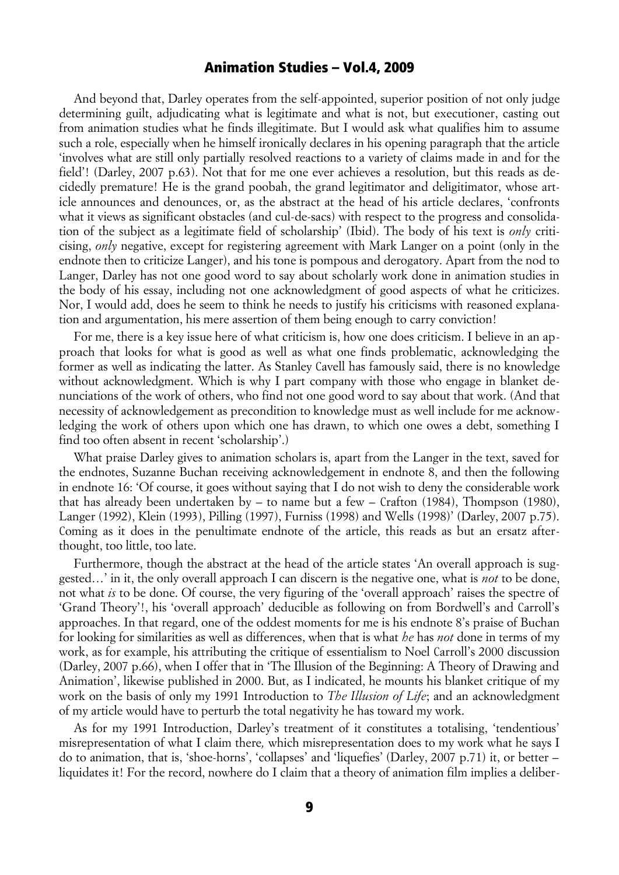And beyond that, Darley operates from the self-appointed, superior position of not only judge determining guilt, adjudicating what is legitimate and what is not, but executioner, casting out from animation studies what he finds illegitimate. But I would ask what qualifies him to assume such a role, especially when he himself ironically declares in his opening paragraph that the article 'involves what are still only partially resolved reactions to a variety of claims made in and for the field'! (Darley, 2007 p.63). Not that for me one ever achieves a resolution, but this reads as decidedly premature! He is the grand poobah, the grand legitimator and deligitimator, whose article announces and denounces, or, as the abstract at the head of his article declares, 'confronts what it views as significant obstacles (and cul-de-sacs) with respect to the progress and consolidation of the subject as a legitimate field of scholarship' (Ibid). The body of his text is *only* criticising, *only* negative, except for registering agreement with Mark Langer on a point (only in the endnote then to criticize Langer), and his tone is pompous and derogatory. Apart from the nod to Langer, Darley has not one good word to say about scholarly work done in animation studies in the body of his essay, including not one acknowledgment of good aspects of what he criticizes. Nor, I would add, does he seem to think he needs to justify his criticisms with reasoned explanation and argumentation, his mere assertion of them being enough to carry conviction!

For me, there is a key issue here of what criticism is, how one does criticism. I believe in an approach that looks for what is good as well as what one finds problematic, acknowledging the former as well as indicating the latter. As Stanley Cavell has famously said, there is no knowledge without acknowledgment. Which is why I part company with those who engage in blanket denunciations of the work of others, who find not one good word to say about that work. (And that necessity of acknowledgement as precondition to knowledge must as well include for me acknowledging the work of others upon which one has drawn, to which one owes a debt, something I find too often absent in recent 'scholarship'.)

What praise Darley gives to animation scholars is, apart from the Langer in the text, saved for the endnotes, Suzanne Buchan receiving acknowledgement in endnote 8, and then the following in endnote 16: 'Of course, it goes without saying that I do not wish to deny the considerable work that has already been undertaken by *–* to name but a few *–* Crafton (1984), Thompson (1980), Langer (1992), Klein (1993), Pilling (1997), Furniss (1998) and Wells (1998)' (Darley, 2007 p.75). Coming as it does in the penultimate endnote of the article, this reads as but an ersatz afterthought, too little, too late.

Furthermore, though the abstract at the head of the article states 'An overall approach is suggested…' in it, the only overall approach I can discern is the negative one, what is *not* to be done, not what *is* to be done. Of course, the very figuring of the 'overall approach' raises the spectre of 'Grand Theory'!, his 'overall approach' deducible as following on from Bordwell's and Carroll's approaches. In that regard, one of the oddest moments for me is his endnote 8's praise of Buchan for looking for similarities as well as differences, when that is what *he* has *not* done in terms of my work, as for example, his attributing the critique of essentialism to Noel Carroll's 2000 discussion (Darley, 2007 p.66), when I offer that in 'The Illusion of the Beginning: A Theory of Drawing and Animation', likewise published in 2000. But, as I indicated, he mounts his blanket critique of my work on the basis of only my 1991 Introduction to *The Illusion of Life*; and an acknowledgment of my article would have to perturb the total negativity he has toward my work.

As for my 1991 Introduction, Darley's treatment of it constitutes a totalising, 'tendentious' misrepresentation of what I claim there*,* which misrepresentation does to my work what he says I do to animation, that is, 'shoe-horns', 'collapses' and 'liquefies' (Darley, 2007 p.71) it, or better *–* liquidates it! For the record, nowhere do I claim that a theory of animation film implies a deliber-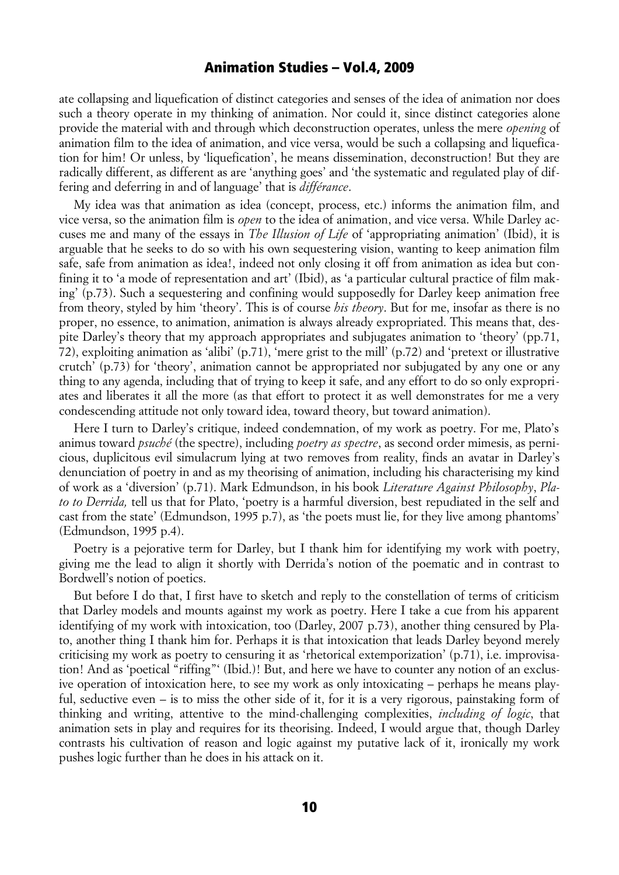ate collapsing and liquefication of distinct categories and senses of the idea of animation nor does such a theory operate in my thinking of animation. Nor could it, since distinct categories alone provide the material with and through which deconstruction operates, unless the mere *opening* of animation film to the idea of animation, and vice versa, would be such a collapsing and liquefication for him! Or unless, by 'liquefication', he means dissemination, deconstruction! But they are radically different, as different as are 'anything goes' and 'the systematic and regulated play of differing and deferring in and of language' that is *différance*.

My idea was that animation as idea (concept, process, etc.) informs the animation film, and vice versa, so the animation film is *open* to the idea of animation, and vice versa. While Darley accuses me and many of the essays in *The Illusion of Life* of 'appropriating animation' (Ibid), it is arguable that he seeks to do so with his own sequestering vision, wanting to keep animation film safe, safe from animation as idea!, indeed not only closing it off from animation as idea but confining it to 'a mode of representation and art' (Ibid), as 'a particular cultural practice of film making' (p.73). Such a sequestering and confining would supposedly for Darley keep animation free from theory, styled by him 'theory'. This is of course *his theory*. But for me, insofar as there is no proper, no essence, to animation, animation is always already expropriated. This means that, despite Darley's theory that my approach appropriates and subjugates animation to 'theory' (pp.71, 72), exploiting animation as 'alibi' (p.71), 'mere grist to the mill' (p.72) and 'pretext or illustrative crutch' (p.73) for 'theory', animation cannot be appropriated nor subjugated by any one or any thing to any agenda, including that of trying to keep it safe, and any effort to do so only expropriates and liberates it all the more (as that effort to protect it as well demonstrates for me a very condescending attitude not only toward idea, toward theory, but toward animation).

Here I turn to Darley's critique, indeed condemnation, of my work as poetry. For me, Plato's animus toward *psuché* (the spectre), including *poetry as spectre*, as second order mimesis, as pernicious, duplicitous evil simulacrum lying at two removes from reality, finds an avatar in Darley's denunciation of poetry in and as my theorising of animation, including his characterising my kind of work as a 'diversion' (p.71). Mark Edmundson, in his book *Literature Against Philosophy*, *Plato to Derrida,* tell us that for Plato, 'poetry is a harmful diversion, best repudiated in the self and cast from the state' (Edmundson, 1995 p.7), as 'the poets must lie, for they live among phantoms' (Edmundson, 1995 p.4).

Poetry is a pejorative term for Darley, but I thank him for identifying my work with poetry, giving me the lead to align it shortly with Derrida's notion of the poematic and in contrast to Bordwell's notion of poetics.

But before I do that, I first have to sketch and reply to the constellation of terms of criticism that Darley models and mounts against my work as poetry. Here I take a cue from his apparent identifying of my work with intoxication, too (Darley, 2007 p.73), another thing censured by Plato, another thing I thank him for. Perhaps it is that intoxication that leads Darley beyond merely criticising my work as poetry to censuring it as 'rhetorical extemporization' (p.71), i.e. improvisation! And as 'poetical "riffing"' (Ibid.)! But, and here we have to counter any notion of an exclusive operation of intoxication here, to see my work as only intoxicating *–* perhaps he means playful, seductive even *–* is to miss the other side of it, for it is a very rigorous, painstaking form of thinking and writing, attentive to the mind-challenging complexities, *including of logic*, that animation sets in play and requires for its theorising. Indeed, I would argue that, though Darley contrasts his cultivation of reason and logic against my putative lack of it, ironically my work pushes logic further than he does in his attack on it.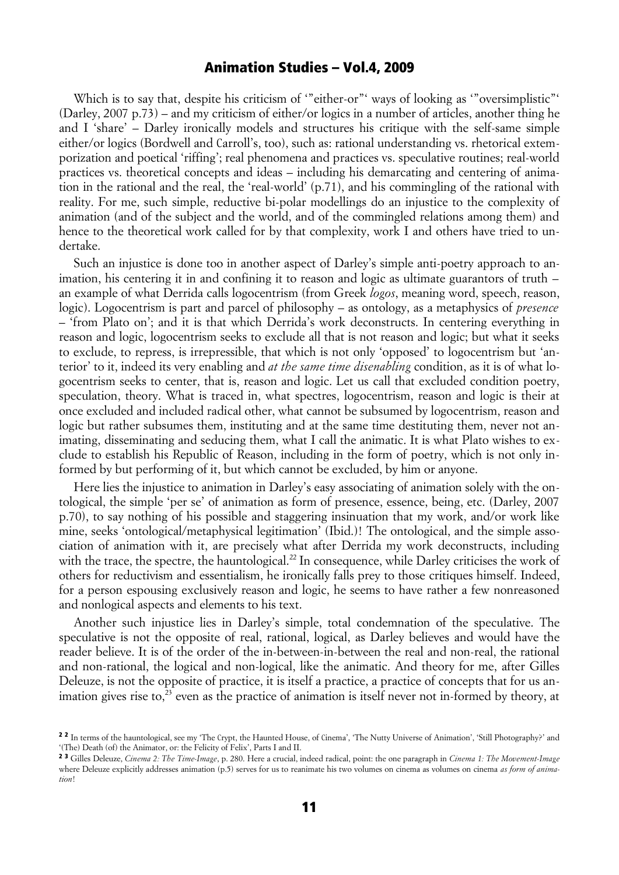Which is to say that, despite his criticism of "either-or" ways of looking as "oversimplistic" (Darley, 2007 p.73) *–* and my criticism of either/or logics in a number of articles, another thing he and I 'share' *–* Darley ironically models and structures his critique with the self-same simple either/or logics (Bordwell and Carroll's, too), such as: rational understanding vs. rhetorical extemporization and poetical 'riffing'; real phenomena and practices vs. speculative routines; real-world practices vs. theoretical concepts and ideas *–* including his demarcating and centering of animation in the rational and the real, the 'real-world' (p.71), and his commingling of the rational with reality. For me, such simple, reductive bi-polar modellings do an injustice to the complexity of animation (and of the subject and the world, and of the commingled relations among them) and hence to the theoretical work called for by that complexity, work I and others have tried to undertake.

Such an injustice is done too in another aspect of Darley's simple anti-poetry approach to animation, his centering it in and confining it to reason and logic as ultimate guarantors of truth *–* an example of what Derrida calls logocentrism (from Greek *logos*, meaning word, speech, reason, logic). Logocentrism is part and parcel of philosophy *–* as ontology, as a metaphysics of *presence –* 'from Plato on'; and it is that which Derrida's work deconstructs. In centering everything in reason and logic, logocentrism seeks to exclude all that is not reason and logic; but what it seeks to exclude, to repress, is irrepressible, that which is not only 'opposed' to logocentrism but 'anterior' to it, indeed its very enabling and *at the same time disenabling* condition, as it is of what logocentrism seeks to center, that is, reason and logic. Let us call that excluded condition poetry, speculation, theory. What is traced in, what spectres, logocentrism, reason and logic is their at once excluded and included radical other, what cannot be subsumed by logocentrism, reason and logic but rather subsumes them, instituting and at the same time destituting them, never not animating, disseminating and seducing them, what I call the animatic. It is what Plato wishes to exclude to establish his Republic of Reason, including in the form of poetry, which is not only informed by but performing of it, but which cannot be excluded, by him or anyone.

Here lies the injustice to animation in Darley's easy associating of animation solely with the ontological, the simple 'per se' of animation as form of presence, essence, being, etc. (Darley, 2007 p.70), to say nothing of his possible and staggering insinuation that my work, and/or work like mine, seeks 'ontological/metaphysical legitimation' (Ibid.)! The ontological, and the simple association of animation with it, are precisely what after Derrida my work deconstructs, including with the trace, the spectre, the hauntological.<sup>22</sup> In consequence, while Darley criticises the work of others for reductivism and essentialism, he ironically falls prey to those critiques himself. Indeed, for a person espousing exclusively reason and logic, he seems to have rather a few nonreasoned and nonlogical aspects and elements to his text.

Another such injustice lies in Darley's simple, total condemnation of the speculative. The speculative is not the opposite of real, rational, logical, as Darley believes and would have the reader believe. It is of the order of the in-between-in-between the real and non-real, the rational and non-rational, the logical and non-logical, like the animatic. And theory for me, after Gilles Deleuze, is not the opposite of practice, it is itself a practice, a practice of concepts that for us animation gives rise to, $^{23}$  even as the practice of animation is itself never not in-formed by theory, at

<sup>&</sup>lt;sup>2 2</sup> In terms of the hauntological, see my 'The Crypt, the Haunted House, of Cinema', 'The Nutty Universe of Animation', 'Still Photography?' and '(The) Death (of) the Animator, or: the Felicity of Felix', Parts I and II.

<sup>2 3</sup> Gilles Deleuze, *Cinema 2: The Time-Image*, p. 280. Here a crucial, indeed radical, point: the one paragraph in *Cinema 1: The Movement-Image* where Deleuze explicitly addresses animation (p.5) serves for us to reanimate his two volumes on cinema as volumes on cinema *as form of animation*!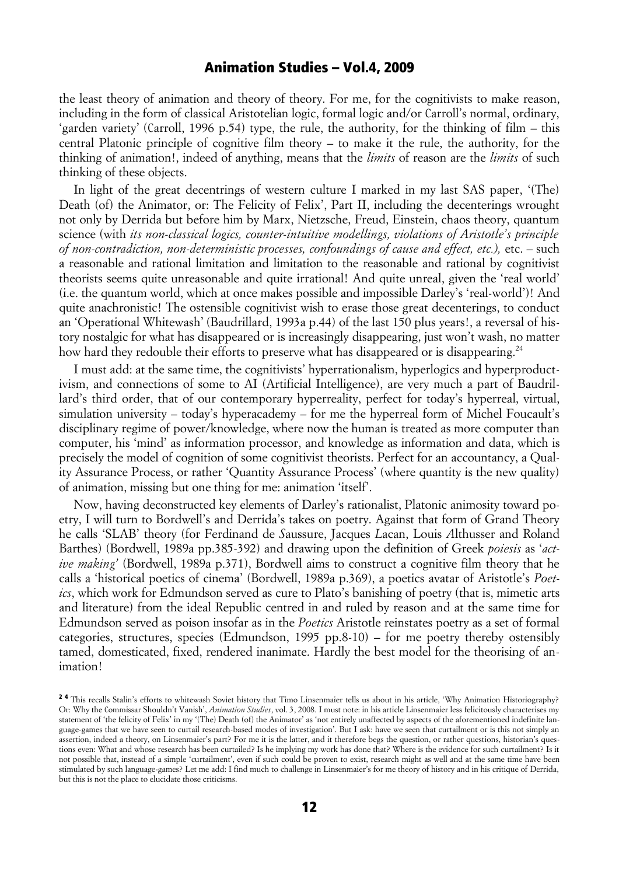the least theory of animation and theory of theory. For me, for the cognitivists to make reason, including in the form of classical Aristotelian logic, formal logic and/or Carroll's normal, ordinary, 'garden variety' (Carroll, 1996 p.54) type, the rule, the authority, for the thinking of film *–* this central Platonic principle of cognitive film theory *–* to make it the rule, the authority, for the thinking of animation!, indeed of anything, means that the *limits* of reason are the *limits* of such thinking of these objects.

In light of the great decentrings of western culture I marked in my last SAS paper, '(The) Death (of) the Animator, or: The Felicity of Felix', Part II, including the decenterings wrought not only by Derrida but before him by Marx, Nietzsche, Freud, Einstein, chaos theory, quantum science (with *its non-classical logics, counter-intuitive modellings, violations of Aristotle's principle of non-contradiction, non-deterministic processes, confoundings of cause and effect, etc.),* etc. *–* such a reasonable and rational limitation and limitation to the reasonable and rational by cognitivist theorists seems quite unreasonable and quite irrational! And quite unreal, given the 'real world' (i.e. the quantum world, which at once makes possible and impossible Darley's 'real-world')! And quite anachronistic! The ostensible cognitivist wish to erase those great decenterings, to conduct an 'Operational Whitewash' (Baudrillard, 1993a p.44) of the last 150 plus years!, a reversal of history nostalgic for what has disappeared or is increasingly disappearing, just won't wash, no matter how hard they redouble their efforts to preserve what has disappeared or is disappearing.<sup>24</sup>

I must add: at the same time, the cognitivists' hyperrationalism, hyperlogics and hyperproductivism, and connections of some to AI (Artificial Intelligence), are very much a part of Baudrillard's third order, that of our contemporary hyperreality, perfect for today's hyperreal, virtual, simulation university *–* today's hyperacademy *–* for me the hyperreal form of Michel Foucault's disciplinary regime of power/knowledge, where now the human is treated as more computer than computer, his 'mind' as information processor, and knowledge as information and data, which is precisely the model of cognition of some cognitivist theorists. Perfect for an accountancy, a Quality Assurance Process, or rather 'Quantity Assurance Process' (where quantity is the new quality) of animation, missing but one thing for me: animation 'itself'.

Now, having deconstructed key elements of Darley's rationalist, Platonic animosity toward poetry, I will turn to Bordwell's and Derrida's takes on poetry. Against that form of Grand Theory he calls 'SLAB' theory (for Ferdinand de *S*aussure, Jacques *L*acan, Louis *A*lthusser and Roland Barthes) (Bordwell, 1989a pp.385-392) and drawing upon the definition of Greek *poiesis* as '*active making'* (Bordwell, 1989a p.371), Bordwell aims to construct a cognitive film theory that he calls a 'historical poetics of cinema' (Bordwell, 1989a p.369), a poetics avatar of Aristotle's *Poetics*, which work for Edmundson served as cure to Plato's banishing of poetry (that is, mimetic arts and literature) from the ideal Republic centred in and ruled by reason and at the same time for Edmundson served as poison insofar as in the *Poetics* Aristotle reinstates poetry as a set of formal categories, structures, species (Edmundson, 1995 pp.8-10) *–* for me poetry thereby ostensibly tamed, domesticated, fixed, rendered inanimate. Hardly the best model for the theorising of animation!

<sup>&</sup>lt;sup>24</sup> This recalls Stalin's efforts to whitewash Soviet history that Timo Linsenmaier tells us about in his article, 'Why Animation Historiography? Or: Why the Commissar Shouldn't Vanish', *Animation Studies*, vol. 3, 2008. I must note: in his article Linsenmaier less felicitously characterises my statement of 'the felicity of Felix' in my '(The) Death (of) the Animator' as 'not entirely unaffected by aspects of the aforementioned indefinite language-games that we have seen to curtail research-based modes of investigation'. But I ask: have we seen that curtailment or is this not simply an assertion, indeed a theory, on Linsenmaier's part? For me it is the latter, and it therefore begs the question, or rather questions, historian's questions even: What and whose research has been curtailed? Is he implying my work has done that? Where is the evidence for such curtailment? Is it not possible that, instead of a simple 'curtailment', even if such could be proven to exist, research might as well and at the same time have been stimulated by such language-games? Let me add: I find much to challenge in Linsenmaier's for me theory of history and in his critique of Derrida, but this is not the place to elucidate those criticisms.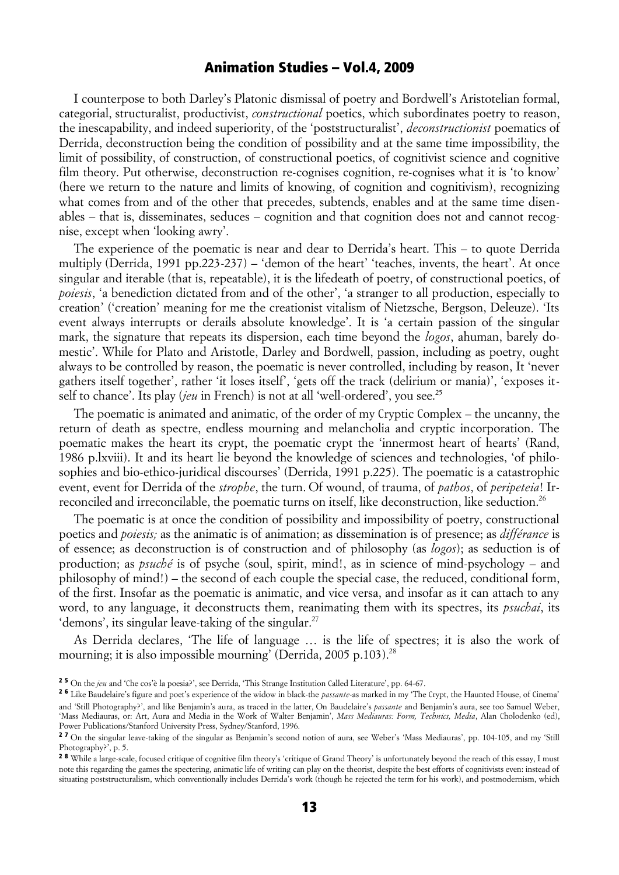I counterpose to both Darley's Platonic dismissal of poetry and Bordwell's Aristotelian formal, categorial, structuralist, productivist, *constructional* poetics, which subordinates poetry to reason, the inescapability, and indeed superiority, of the 'poststructuralist', *deconstructionist* poematics of Derrida, deconstruction being the condition of possibility and at the same time impossibility, the limit of possibility, of construction, of constructional poetics, of cognitivist science and cognitive film theory. Put otherwise, deconstruction re-cognises cognition, re-cognises what it is 'to know' (here we return to the nature and limits of knowing, of cognition and cognitivism), recognizing what comes from and of the other that precedes, subtends, enables and at the same time disenables *–* that is, disseminates, seduces *–* cognition and that cognition does not and cannot recognise, except when 'looking awry'.

The experience of the poematic is near and dear to Derrida's heart. This *–* to quote Derrida multiply (Derrida, 1991 pp.223-237) *–* 'demon of the heart' 'teaches, invents, the heart'. At once singular and iterable (that is, repeatable), it is the lifedeath of poetry, of constructional poetics, of *poiesis*, 'a benediction dictated from and of the other', 'a stranger to all production, especially to creation' ('creation' meaning for me the creationist vitalism of Nietzsche, Bergson, Deleuze). 'Its event always interrupts or derails absolute knowledge'. It is 'a certain passion of the singular mark, the signature that repeats its dispersion, each time beyond the *logos*, ahuman, barely domestic'. While for Plato and Aristotle, Darley and Bordwell, passion, including as poetry, ought always to be controlled by reason, the poematic is never controlled, including by reason, It 'never gathers itself together', rather 'it loses itself', 'gets off the track (delirium or mania)', 'exposes itself to chance'. Its play *(jeu* in French) is not at all 'well-ordered', you see.<sup>25</sup>

The poematic is animated and animatic, of the order of my Cryptic Complex *–* the uncanny, the return of death as spectre, endless mourning and melancholia and cryptic incorporation. The poematic makes the heart its crypt, the poematic crypt the 'innermost heart of hearts' (Rand, 1986 p.lxviii). It and its heart lie beyond the knowledge of sciences and technologies, 'of philosophies and bio-ethico-juridical discourses' (Derrida, 1991 p.225). The poematic is a catastrophic event, event for Derrida of the *strophe*, the turn. Of wound, of trauma, of *pathos*, of *peripeteia*! Irreconciled and irreconcilable, the poematic turns on itself, like deconstruction, like seduction.<sup>26</sup>

The poematic is at once the condition of possibility and impossibility of poetry, constructional poetics and *poiesis;* as the animatic is of animation; as dissemination is of presence; as *différance* is of essence; as deconstruction is of construction and of philosophy (as *logos*); as seduction is of production; as *psuché* is of psyche (soul, spirit, mind!, as in science of mind-psychology *–* and philosophy of mind!) *–* the second of each couple the special case, the reduced, conditional form, of the first. Insofar as the poematic is animatic, and vice versa, and insofar as it can attach to any word, to any language, it deconstructs them, reanimating them with its spectres, its *psuchai*, its 'demons', its singular leave-taking of the singular.<sup>27</sup>

As Derrida declares, 'The life of language … is the life of spectres; it is also the work of mourning; it is also impossible mourning' (Derrida, 2005 p.103).<sup>28</sup>

<sup>2 5</sup> On the *jeu* and 'Che cos'è la poesia?', see Derrida, 'This Strange Institution Called Literature', pp. 64-67.

<sup>2 6</sup> Like Baudelaire's figure and poet's experience of the widow in black-the *passante*-as marked in my 'The Crypt, the Haunted House, of Cinema' and 'Still Photography?', and like Benjamin's aura, as traced in the latter, On Baudelaire's *passante* and Benjamin's aura, see too Samuel Weber, 'Mass Mediauras, or: Art, Aura and Media in the Work of Walter Benjamin', *Mass Mediauras: Form, Technics, Media*, Alan Cholodenko (ed), Power Publications/Stanford University Press, Sydney/Stanford, 1996.

<sup>&</sup>lt;sup>27</sup> On the singular leave-taking of the singular as Benjamin's second notion of aura, see Weber's 'Mass Mediauras', pp. 104-105, and my 'Still Photography?, p. 5.

<sup>28</sup> While a large-scale, focused critique of cognitive film theory's 'critique of Grand Theory' is unfortunately beyond the reach of this essay, I must note this regarding the games the spectering, animatic life of writing can play on the theorist, despite the best efforts of cognitivists even: instead of situating poststructuralism, which conventionally includes Derrida's work (though he rejected the term for his work), and postmodernism, which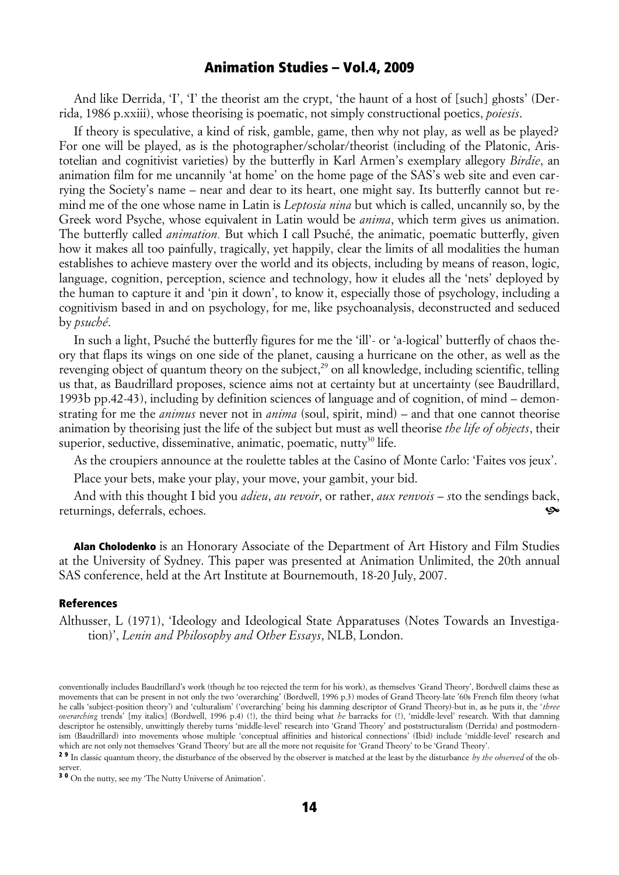And like Derrida, 'T', 'T' the theorist am the crypt, 'the haunt of a host of [such] ghosts' (Derrida, 1986 p.xxiii), whose theorising is poematic, not simply constructional poetics, *poiesis*.

If theory is speculative, a kind of risk, gamble, game, then why not play, as well as be played? For one will be played, as is the photographer/scholar/theorist (including of the Platonic, Aristotelian and cognitivist varieties) by the butterfly in Karl Armen's exemplary allegory *Birdie*, an animation film for me uncannily 'at home' on the home page of the SAS's web site and even carrying the Society's name *–* near and dear to its heart, one might say. Its butterfly cannot but remind me of the one whose name in Latin is *Leptosia nina* but which is called, uncannily so, by the Greek word Psyche, whose equivalent in Latin would be *anima*, which term gives us animation. The butterfly called *animation.* But which I call Psuché, the animatic, poematic butterfly, given how it makes all too painfully, tragically, yet happily, clear the limits of all modalities the human establishes to achieve mastery over the world and its objects, including by means of reason, logic, language, cognition, perception, science and technology, how it eludes all the 'nets' deployed by the human to capture it and 'pin it down', to know it, especially those of psychology, including a cognitivism based in and on psychology, for me, like psychoanalysis, deconstructed and seduced by *psuché*.

In such a light, Psuché the butterfly figures for me the 'ill'- or 'a-logical' butterfly of chaos theory that flaps its wings on one side of the planet, causing a hurricane on the other, as well as the revenging object of quantum theory on the subject,<sup>29</sup> on all knowledge, including scientific, telling us that, as Baudrillard proposes, science aims not at certainty but at uncertainty (see Baudrillard, 1993b pp.42-43), including by definition sciences of language and of cognition, of mind *–* demonstrating for me the *animus* never not in *anima* (soul, spirit, mind) *–* and that one cannot theorise animation by theorising just the life of the subject but must as well theorise *the life of objects*, their superior, seductive, disseminative, animatic, poematic, nutty<sup>30</sup> life.

As the croupiers announce at the roulette tables at the Casino of Monte Carlo: 'Faites vos jeux'.

Place your bets, make your play, your move, your gambit, your bid.

And with this thought I bid you *adieu*, *au revoir*, or rather, *aux renvois – s*to the sendings back, returnings, deferrals, echoes. ^

Alan Cholodenko is an Honorary Associate of the Department of Art History and Film Studies at the University of Sydney. This paper was presented at Animation Unlimited, the 20th annual SAS conference, held at the Art Institute at Bournemouth, 18-20 July, 2007.

#### References

Althusser, L (1971), 'Ideology and Ideological State Apparatuses (Notes Towards an Investigation)', *Lenin and Philosophy and Other Essays*, NLB, London.

conventionally includes Baudrillard's work (though he too rejected the term for his work), as themselves 'Grand Theory', Bordwell claims these as movements that can be present in not only the two 'overarching' (Bordwell, 1996 p.3) modes of Grand Theory-late '60s French film theory (what he calls 'subject-position theory') and 'culturalism' ('overarching' being his damning descriptor of Grand Theory)-but in, as he puts it, the '*three overarching* trends' [my italics] (Bordwell, 1996 p.4) (!), the third being what *he* barracks for (!), 'middle-level' research. With that damning descriptor he ostensibly, unwittingly thereby turns 'middle-level' research into 'Grand Theory' and poststructuralism (Derrida) and postmodernism (Baudrillard) into movements whose multiple 'conceptual affinities and historical connections' (Ibid) include 'middle-level' research and which are not only not themselves 'Grand Theory' but are all the more not requisite for 'Grand Theory' to be 'Grand Theory'.

<sup>2 9</sup> In classic quantum theory, the disturbance of the observed by the observer is matched at the least by the disturbance *by the observed* of the observer.

<sup>3 0</sup> On the nutty, see my 'The Nutty Universe of Animation'.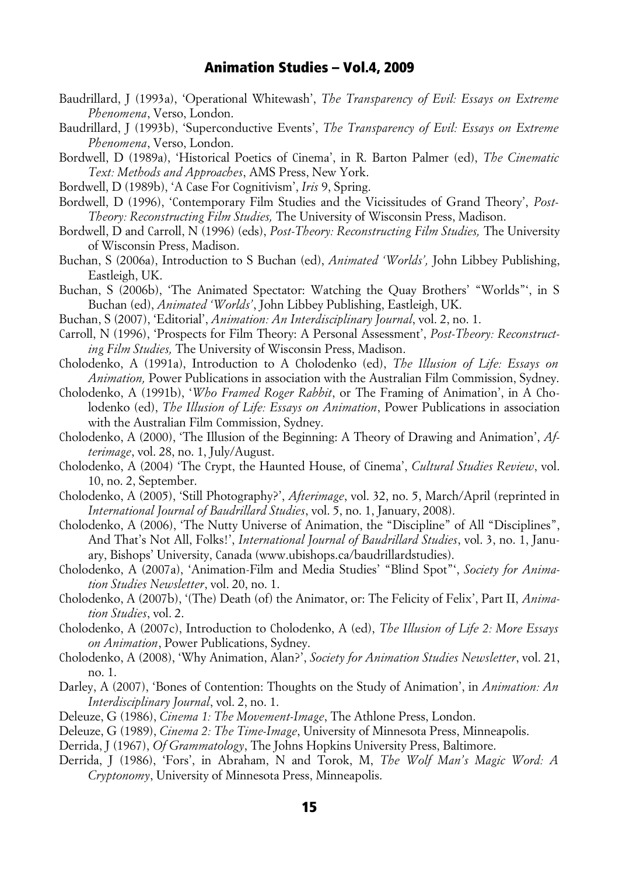- Baudrillard, J (1993a), 'Operational Whitewash', *The Transparency of Evil: Essays on Extreme Phenomena*, Verso, London.
- Baudrillard, J (1993b), 'Superconductive Events', *The Transparency of Evil: Essays on Extreme Phenomena*, Verso, London.
- Bordwell, D (1989a), 'Historical Poetics of Cinema', in R. Barton Palmer (ed), *The Cinematic Text: Methods and Approaches*, AMS Press, New York.
- Bordwell, D (1989b), 'A Case For Cognitivism', *Iris* 9, Spring.
- Bordwell, D (1996), 'Contemporary Film Studies and the Vicissitudes of Grand Theory', *Post-Theory: Reconstructing Film Studies,* The University of Wisconsin Press, Madison.
- Bordwell, D and Carroll, N (1996) (eds), *Post-Theory: Reconstructing Film Studies,* The University of Wisconsin Press, Madison.
- Buchan, S (2006a), Introduction to S Buchan (ed), *Animated 'Worlds',* John Libbey Publishing, Eastleigh, UK.
- Buchan, S (2006b), 'The Animated Spectator: Watching the Quay Brothers' "Worlds"', in S Buchan (ed), *Animated 'Worlds'*, John Libbey Publishing, Eastleigh, UK.
- Buchan, S (2007), 'Editorial', *Animation: An Interdisciplinary Journal*, vol. 2, no. 1.
- Carroll, N (1996), 'Prospects for Film Theory: A Personal Assessment', *Post-Theory: Reconstructing Film Studies,* The University of Wisconsin Press, Madison.
- Cholodenko, A (1991a), Introduction to A Cholodenko (ed), *The Illusion of Life: Essays on Animation,* Power Publications in association with the Australian Film Commission, Sydney.
- Cholodenko, A (1991b), '*Who Framed Roger Rabbit*, or The Framing of Animation', in A Cholodenko (ed), *The Illusion of Life: Essays on Animation*, Power Publications in association with the Australian Film Commission, Sydney.
- Cholodenko, A (2000), 'The Illusion of the Beginning: A Theory of Drawing and Animation', *Afterimage*, vol. 28, no. 1, July/August.
- Cholodenko, A (2004) 'The Crypt, the Haunted House, of Cinema', *Cultural Studies Review*, vol. 10, no. 2, September.
- Cholodenko, A (2005), 'Still Photography?', *Afterimage*, vol. 32, no. 5, March/April (reprinted in *International Journal of Baudrillard Studies*, vol. 5, no. 1, January, 2008).
- Cholodenko, A (2006), 'The Nutty Universe of Animation, the "Discipline" of All "Disciplines", And That's Not All, Folks!', *International Journal of Baudrillard Studies*, vol. 3, no. 1, January, Bishops' University, Canada (www.ubishops.ca/baudrillardstudies).
- Cholodenko, A (2007a), 'Animation-Film and Media Studies' "Blind Spot"', *Society for Animation Studies Newsletter*, vol. 20, no. 1.
- Cholodenko, A (2007b), '(The) Death (of) the Animator, or: The Felicity of Felix', Part II, *Animation Studies*, vol. 2.
- Cholodenko, A (2007c), Introduction to Cholodenko, A (ed), *The Illusion of Life 2: More Essays on Animation*, Power Publications, Sydney.
- Cholodenko, A (2008), 'Why Animation, Alan?', *Society for Animation Studies Newsletter*, vol. 21, no. 1.
- Darley, A (2007), 'Bones of Contention: Thoughts on the Study of Animation', in *Animation: An Interdisciplinary Journal*, vol. 2, no. 1.
- Deleuze, G (1986), *Cinema 1: The Movement-Image*, The Athlone Press, London.
- Deleuze, G (1989), *Cinema 2: The Time-Image*, University of Minnesota Press, Minneapolis.
- Derrida, J (1967), *Of Grammatology*, The Johns Hopkins University Press, Baltimore.
- Derrida, J (1986), 'Fors', in Abraham, N and Torok, M, *The Wolf Man's Magic Word: A Cryptonomy*, University of Minnesota Press, Minneapolis.